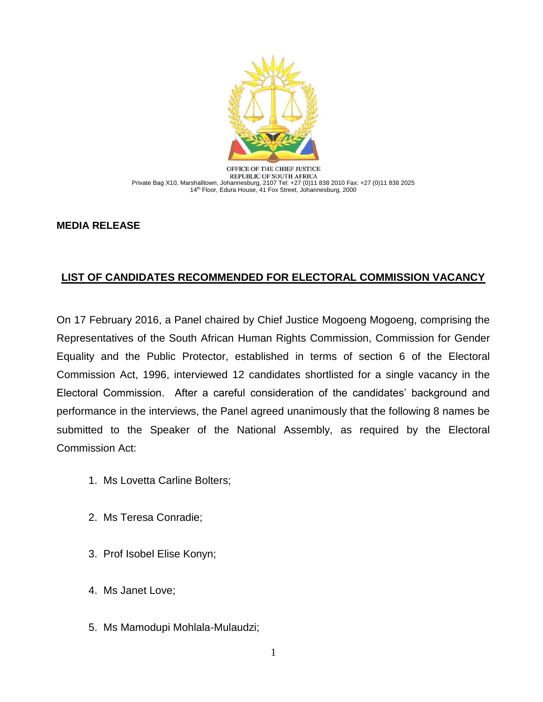

OFFICE OF THE CHIEF JUSTICE REPUBLIC OF SOUTH AFRICA Private Bag X10, Marshalltown, Johannesburg, 2107 Tel: +27 (0)11 838 2010 Fax: +27 (0)11 838 2025 14th Floor, Edura House, 41 Fox Street, Johannesburg, 2000

## **MEDIA RELEASE**

## **LIST OF CANDIDATES RECOMMENDED FOR ELECTORAL COMMISSION VACANCY**

On 17 February 2016, a Panel chaired by Chief Justice Mogoeng Mogoeng, comprising the Representatives of the South African Human Rights Commission, Commission for Gender Equality and the Public Protector, established in terms of section 6 of the Electoral Commission Act, 1996, interviewed 12 candidates shortlisted for a single vacancy in the Electoral Commission. After a careful consideration of the candidates' background and performance in the interviews, the Panel agreed unanimously that the following 8 names be submitted to the Speaker of the National Assembly, as required by the Electoral Commission Act:

- 1. Ms Lovetta Carline Bolters;
- 2. Ms Teresa Conradie;
- 3. Prof Isobel Elise Konyn;
- 4. Ms Janet Love;
- 5. Ms Mamodupi Mohlala-Mulaudzi;